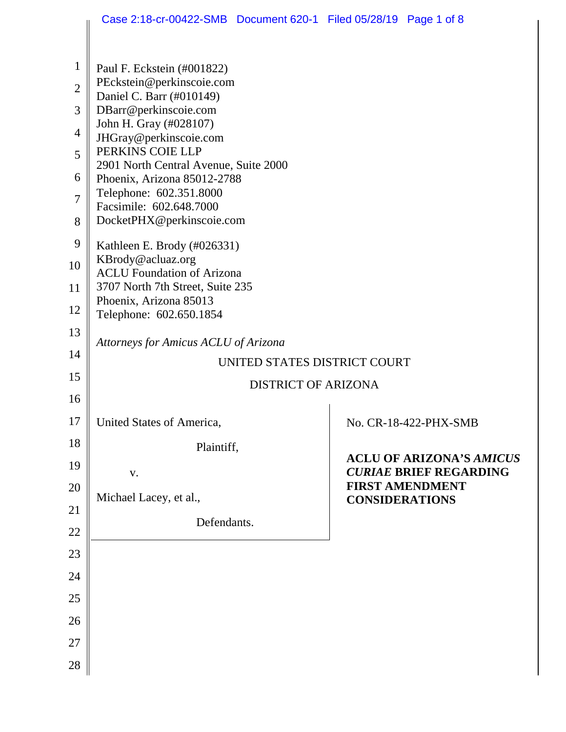|                | Case 2:18-cr-00422-SMB  Document 620-1  Filed 05/28/19  Page 1 of 8 |  |                       |                                                                  |  |
|----------------|---------------------------------------------------------------------|--|-----------------------|------------------------------------------------------------------|--|
|                |                                                                     |  |                       |                                                                  |  |
| $\mathbf{1}$   | Paul F. Eckstein (#001822)                                          |  |                       |                                                                  |  |
| $\overline{2}$ | PEckstein@perkinscoie.com                                           |  |                       |                                                                  |  |
| 3              | Daniel C. Barr (#010149)<br>DBarr@perkinscoie.com                   |  |                       |                                                                  |  |
| $\overline{4}$ | John H. Gray (#028107)                                              |  |                       |                                                                  |  |
| 5              | JHGray@perkinscoie.com<br>PERKINS COIE LLP                          |  |                       |                                                                  |  |
| 6              | 2901 North Central Avenue, Suite 2000                               |  |                       |                                                                  |  |
| $\overline{7}$ | Phoenix, Arizona 85012-2788<br>Telephone: 602.351.8000              |  |                       |                                                                  |  |
|                | Facsimile: 602.648.7000                                             |  |                       |                                                                  |  |
| 8              | DocketPHX@perkinscoie.com                                           |  |                       |                                                                  |  |
| 9              | Kathleen E. Brody (#026331)<br>KBrody@acluaz.org                    |  |                       |                                                                  |  |
| 10             | <b>ACLU</b> Foundation of Arizona                                   |  |                       |                                                                  |  |
| 11             | 3707 North 7th Street, Suite 235<br>Phoenix, Arizona 85013          |  |                       |                                                                  |  |
| 12             | Telephone: 602.650.1854                                             |  |                       |                                                                  |  |
| 13             | Attorneys for Amicus ACLU of Arizona                                |  |                       |                                                                  |  |
| 14             | UNITED STATES DISTRICT COURT                                        |  |                       |                                                                  |  |
| 15             | <b>DISTRICT OF ARIZONA</b>                                          |  |                       |                                                                  |  |
| 16             |                                                                     |  |                       |                                                                  |  |
| 17             | <b>United States of America</b>                                     |  |                       | No. CR-18-422-PHX-SMB                                            |  |
| 18             | Plaintiff,                                                          |  |                       |                                                                  |  |
| 19             | V.                                                                  |  |                       | <b>ACLU OF ARIZONA'S AMICUS</b><br><b>CURIAE BRIEF REGARDING</b> |  |
| 20             | Michael Lacey, et al.,                                              |  |                       | <b>FIRST AMENDMENT</b>                                           |  |
| 21             |                                                                     |  | <b>CONSIDERATIONS</b> |                                                                  |  |
| 22             | Defendants.                                                         |  |                       |                                                                  |  |
| 23             |                                                                     |  |                       |                                                                  |  |
| 24             |                                                                     |  |                       |                                                                  |  |
| 25             |                                                                     |  |                       |                                                                  |  |
| 26             |                                                                     |  |                       |                                                                  |  |
| 27             |                                                                     |  |                       |                                                                  |  |
| 28             |                                                                     |  |                       |                                                                  |  |
|                |                                                                     |  |                       |                                                                  |  |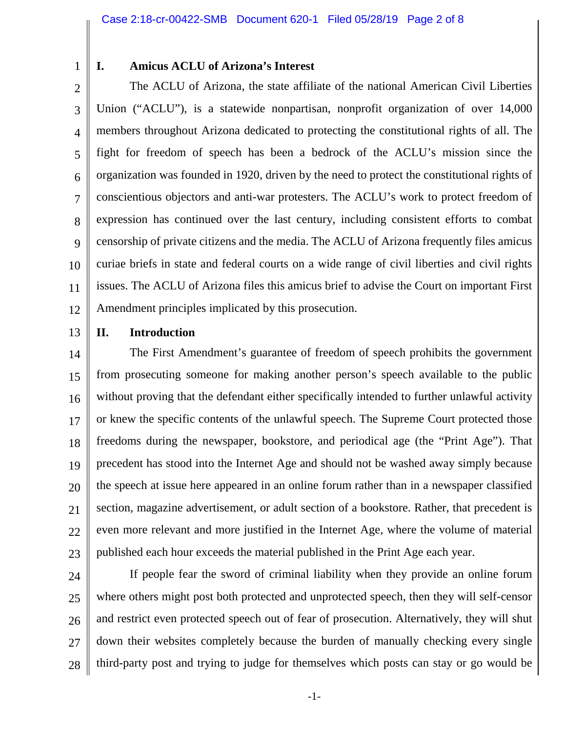1

## **I. Amicus ACLU of Arizona's Interest**

2 3 4 5 6 7 8 9 10 11 12 The ACLU of Arizona, the state affiliate of the national American Civil Liberties Union ("ACLU"), is a statewide nonpartisan, nonprofit organization of over 14,000 members throughout Arizona dedicated to protecting the constitutional rights of all. The fight for freedom of speech has been a bedrock of the ACLU's mission since the organization was founded in 1920, driven by the need to protect the constitutional rights of conscientious objectors and anti-war protesters. The ACLU's work to protect freedom of expression has continued over the last century, including consistent efforts to combat censorship of private citizens and the media. The ACLU of Arizona frequently files amicus curiae briefs in state and federal courts on a wide range of civil liberties and civil rights issues. The ACLU of Arizona files this amicus brief to advise the Court on important First Amendment principles implicated by this prosecution.

13

## **II. Introduction**

14 15 16 17 18 19 20 21 22 23 The First Amendment's guarantee of freedom of speech prohibits the government from prosecuting someone for making another person's speech available to the public without proving that the defendant either specifically intended to further unlawful activity or knew the specific contents of the unlawful speech. The Supreme Court protected those freedoms during the newspaper, bookstore, and periodical age (the "Print Age"). That precedent has stood into the Internet Age and should not be washed away simply because the speech at issue here appeared in an online forum rather than in a newspaper classified section, magazine advertisement, or adult section of a bookstore. Rather, that precedent is even more relevant and more justified in the Internet Age, where the volume of material published each hour exceeds the material published in the Print Age each year.

24 25 26 27 28 If people fear the sword of criminal liability when they provide an online forum where others might post both protected and unprotected speech, then they will self-censor and restrict even protected speech out of fear of prosecution. Alternatively, they will shut down their websites completely because the burden of manually checking every single third-party post and trying to judge for themselves which posts can stay or go would be

-1-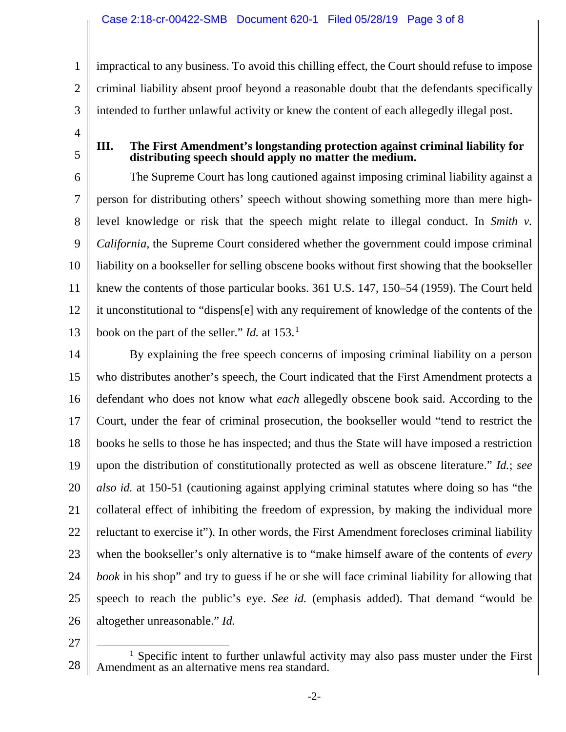impractical to any business. To avoid this chilling effect, the Court should refuse to impose criminal liability absent proof beyond a reasonable doubt that the defendants specifically intended to further unlawful activity or knew the content of each allegedly illegal post.

**III. The First Amendment's longstanding protection against criminal liability for distributing speech should apply no matter the medium.** 

6 7 8 9 10 11 12 13 The Supreme Court has long cautioned against imposing criminal liability against a person for distributing others' speech without showing something more than mere highlevel knowledge or risk that the speech might relate to illegal conduct. In *Smith v. California*, the Supreme Court considered whether the government could impose criminal liability on a bookseller for selling obscene books without first showing that the bookseller knew the contents of those particular books. 361 U.S. 147, 150–54 (1959). The Court held it unconstitutional to "dispens[e] with any requirement of knowledge of the contents of the book on the part of the seller." *Id.* at 153.[1](#page-2-0)

14 15 16 17 18 19 20 21 22 23 24 25 26 By explaining the free speech concerns of imposing criminal liability on a person who distributes another's speech, the Court indicated that the First Amendment protects a defendant who does not know what *each* allegedly obscene book said. According to the Court, under the fear of criminal prosecution, the bookseller would "tend to restrict the books he sells to those he has inspected; and thus the State will have imposed a restriction upon the distribution of constitutionally protected as well as obscene literature." *Id.*; *see also id.* at 150-51 (cautioning against applying criminal statutes where doing so has "the collateral effect of inhibiting the freedom of expression, by making the individual more reluctant to exercise it"). In other words, the First Amendment forecloses criminal liability when the bookseller's only alternative is to "make himself aware of the contents of *every book* in his shop" and try to guess if he or she will face criminal liability for allowing that speech to reach the public's eye. *See id.* (emphasis added). That demand "would be altogether unreasonable." *Id.*

27

1

2

3

4

5

<span id="page-2-0"></span><sup>28</sup> <sup>1</sup> Specific intent to further unlawful activity may also pass muster under the First Amendment as an alternative mens rea standard.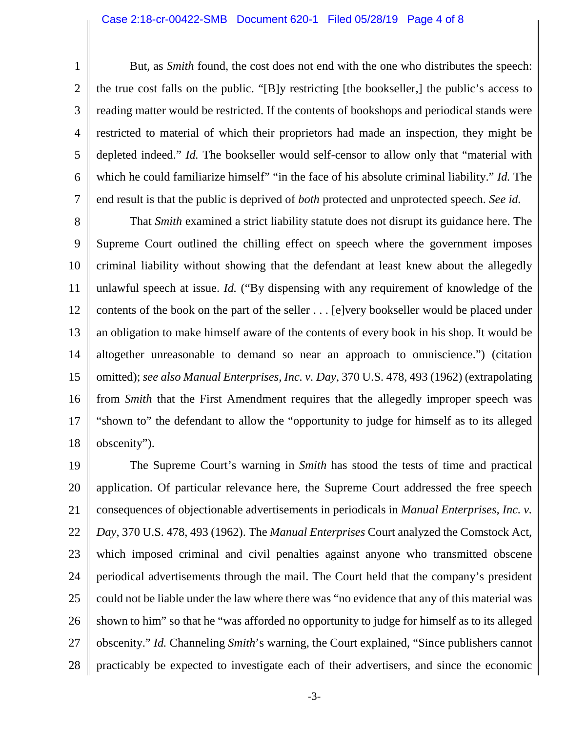1

2

7

3 4 5 6 But, as *Smith* found, the cost does not end with the one who distributes the speech: the true cost falls on the public. "[B]y restricting [the bookseller,] the public's access to reading matter would be restricted. If the contents of bookshops and periodical stands were restricted to material of which their proprietors had made an inspection, they might be depleted indeed." *Id.* The bookseller would self-censor to allow only that "material with which he could familiarize himself" "in the face of his absolute criminal liability." *Id.* The end result is that the public is deprived of *both* protected and unprotected speech. *See id.*

8 9 10 11 12 13 14 15 16 17 18 That *Smith* examined a strict liability statute does not disrupt its guidance here. The Supreme Court outlined the chilling effect on speech where the government imposes criminal liability without showing that the defendant at least knew about the allegedly unlawful speech at issue. *Id.* ("By dispensing with any requirement of knowledge of the contents of the book on the part of the seller . . . [e]very bookseller would be placed under an obligation to make himself aware of the contents of every book in his shop. It would be altogether unreasonable to demand so near an approach to omniscience.") (citation omitted); *see also Manual Enterprises, Inc. v. Day*, 370 U.S. 478, 493 (1962) (extrapolating from *Smith* that the First Amendment requires that the allegedly improper speech was "shown to" the defendant to allow the "opportunity to judge for himself as to its alleged obscenity").

19 20 21 22 23 24 25 26 27 28 The Supreme Court's warning in *Smith* has stood the tests of time and practical application. Of particular relevance here, the Supreme Court addressed the free speech consequences of objectionable advertisements in periodicals in *Manual Enterprises, Inc. v. Day*, 370 U.S. 478, 493 (1962). The *Manual Enterprises* Court analyzed the Comstock Act, which imposed criminal and civil penalties against anyone who transmitted obscene periodical advertisements through the mail. The Court held that the company's president could not be liable under the law where there was "no evidence that any of this material was shown to him" so that he "was afforded no opportunity to judge for himself as to its alleged obscenity." *Id.* Channeling *Smith*'s warning, the Court explained, "Since publishers cannot practicably be expected to investigate each of their advertisers, and since the economic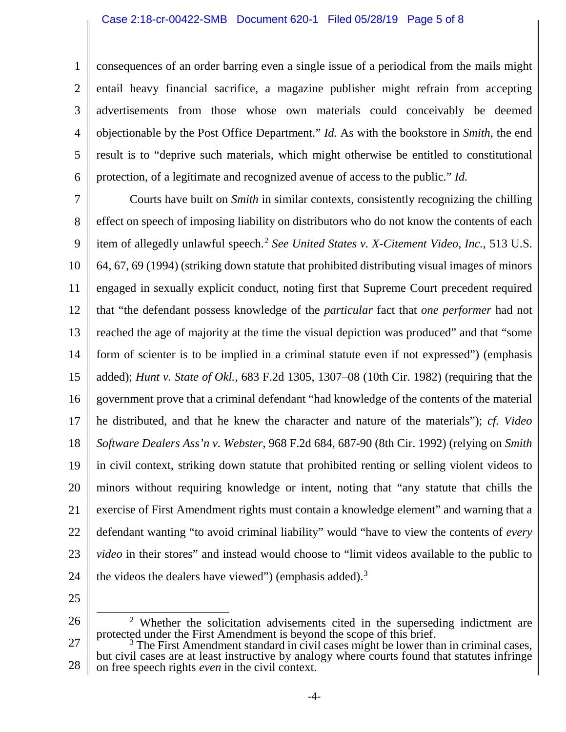1 2 3 4 5 6 consequences of an order barring even a single issue of a periodical from the mails might entail heavy financial sacrifice, a magazine publisher might refrain from accepting advertisements from those whose own materials could conceivably be deemed objectionable by the Post Office Department." *Id.* As with the bookstore in *Smith*, the end result is to "deprive such materials, which might otherwise be entitled to constitutional protection, of a legitimate and recognized avenue of access to the public." *Id.*

7 8 9 10 11 12 13 14 15 16 17 18 19 20 21 22 23 24 Courts have built on *Smith* in similar contexts, consistently recognizing the chilling effect on speech of imposing liability on distributors who do not know the contents of each item of allegedly unlawful speech.<sup>[2](#page-4-0)</sup> See United States v. X-Citement Video, Inc., 513 U.S. 64, 67, 69 (1994) (striking down statute that prohibited distributing visual images of minors engaged in sexually explicit conduct, noting first that Supreme Court precedent required that "the defendant possess knowledge of the *particular* fact that *one performer* had not reached the age of majority at the time the visual depiction was produced" and that "some form of scienter is to be implied in a criminal statute even if not expressed") (emphasis added); *Hunt v. State of Okl.*, 683 F.2d 1305, 1307–08 (10th Cir. 1982) (requiring that the government prove that a criminal defendant "had knowledge of the contents of the material he distributed, and that he knew the character and nature of the materials"); *cf. Video Software Dealers Ass'n v. Webster*, 968 F.2d 684, 687-90 (8th Cir. 1992) (relying on *Smith*  in civil context, striking down statute that prohibited renting or selling violent videos to minors without requiring knowledge or intent, noting that "any statute that chills the exercise of First Amendment rights must contain a knowledge element" and warning that a defendant wanting "to avoid criminal liability" would "have to view the contents of *every video* in their stores" and instead would choose to "limit videos available to the public to the videos the dealers have viewed") (emphasis added).<sup>[3](#page-4-1)</sup>

25

<span id="page-4-0"></span><sup>26</sup>  $2$  Whether the solicitation advisements cited in the superseding indictment are protected under the First Amendment is beyond the scope of this brief.

<span id="page-4-1"></span><sup>27</sup> 28  $\frac{3}{1}$  The First Amendment standard in civil cases might be lower than in criminal cases, but civil cases are at least instructive by analogy where courts found that statutes infringe on free speech rights *even* in the civil context.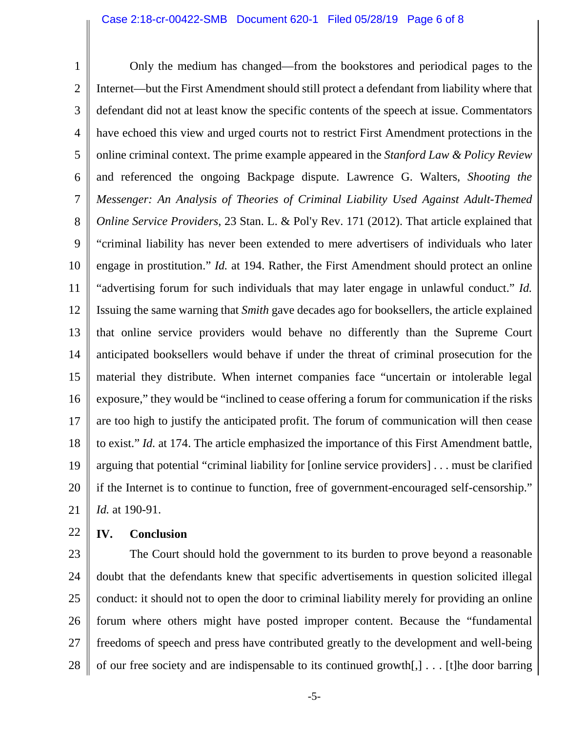1 2 3 4 5 6 7 8 9 10 11 12 13 14 15 16 17 18 19 20 21 Only the medium has changed—from the bookstores and periodical pages to the Internet—but the First Amendment should still protect a defendant from liability where that defendant did not at least know the specific contents of the speech at issue. Commentators have echoed this view and urged courts not to restrict First Amendment protections in the online criminal context. The prime example appeared in the *Stanford Law & Policy Review* and referenced the ongoing Backpage dispute. Lawrence G. Walters, *Shooting the Messenger: An Analysis of Theories of Criminal Liability Used Against Adult-Themed Online Service Providers*, 23 Stan. L. & Pol'y Rev. 171 (2012). That article explained that "criminal liability has never been extended to mere advertisers of individuals who later engage in prostitution." *Id.* at 194. Rather, the First Amendment should protect an online "advertising forum for such individuals that may later engage in unlawful conduct." *Id.*  Issuing the same warning that *Smith* gave decades ago for booksellers, the article explained that online service providers would behave no differently than the Supreme Court anticipated booksellers would behave if under the threat of criminal prosecution for the material they distribute. When internet companies face "uncertain or intolerable legal exposure," they would be "inclined to cease offering a forum for communication if the risks are too high to justify the anticipated profit. The forum of communication will then cease to exist." *Id.* at 174. The article emphasized the importance of this First Amendment battle, arguing that potential "criminal liability for [online service providers] . . . must be clarified if the Internet is to continue to function, free of government-encouraged self-censorship." *Id.* at 190-91.

22

## **IV. Conclusion**

23 24 25 26 27 28 The Court should hold the government to its burden to prove beyond a reasonable doubt that the defendants knew that specific advertisements in question solicited illegal conduct: it should not to open the door to criminal liability merely for providing an online forum where others might have posted improper content. Because the "fundamental freedoms of speech and press have contributed greatly to the development and well-being of our free society and are indispensable to its continued growth[,] . . . [t]he door barring

-5-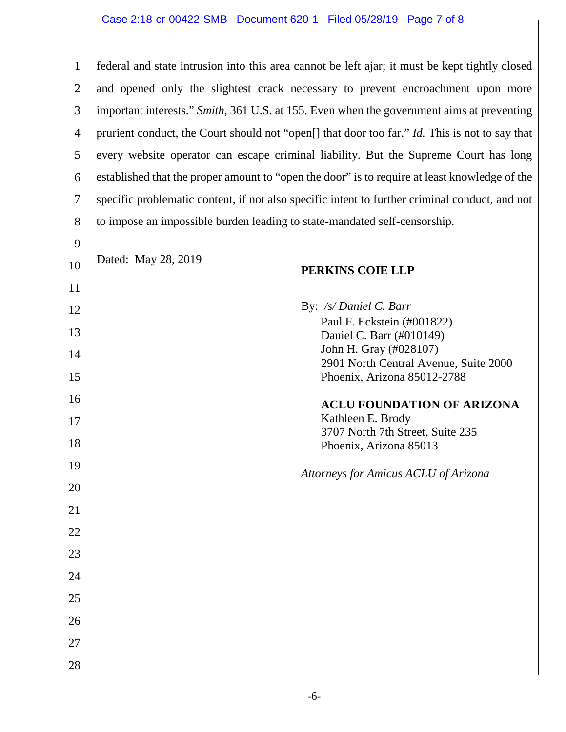$\parallel$ 

| $\mathbf{1}$   | federal and state intrusion into this area cannot be left ajar; it must be kept tightly closed |  |  |  |  |
|----------------|------------------------------------------------------------------------------------------------|--|--|--|--|
| $\overline{2}$ | and opened only the slightest crack necessary to prevent encroachment upon more                |  |  |  |  |
| 3              | important interests." Smith, 361 U.S. at 155. Even when the government aims at preventing      |  |  |  |  |
| 4              | prurient conduct, the Court should not "open[] that door too far." Id. This is not to say that |  |  |  |  |
| 5              | every website operator can escape criminal liability. But the Supreme Court has long           |  |  |  |  |
| 6              | established that the proper amount to "open the door" is to require at least knowledge of the  |  |  |  |  |
| 7              | specific problematic content, if not also specific intent to further criminal conduct, and not |  |  |  |  |
| 8              | to impose an impossible burden leading to state-mandated self-censorship.                      |  |  |  |  |
| 9              |                                                                                                |  |  |  |  |
| 10             | Dated: May 28, 2019<br>PERKINS COIE LLP                                                        |  |  |  |  |
| 11             |                                                                                                |  |  |  |  |
| 12             | By: /s/ Daniel C. Barr                                                                         |  |  |  |  |
| 13             | Paul F. Eckstein (#001822)<br>Daniel C. Barr (#010149)                                         |  |  |  |  |
|                | John H. Gray (#028107)                                                                         |  |  |  |  |
| 14             | 2901 North Central Avenue, Suite 2000                                                          |  |  |  |  |
| 15             | Phoenix, Arizona 85012-2788                                                                    |  |  |  |  |
| 16             | <b>ACLU FOUNDATION OF ARIZONA</b>                                                              |  |  |  |  |
| 17             | Kathleen E. Brody                                                                              |  |  |  |  |
| 18             | 3707 North 7th Street, Suite 235<br>Phoenix, Arizona 85013                                     |  |  |  |  |
| 19             | Attorneys for Amicus ACLU of Arizona                                                           |  |  |  |  |
| 20             |                                                                                                |  |  |  |  |
| 21             |                                                                                                |  |  |  |  |
| 22             |                                                                                                |  |  |  |  |
| 23             |                                                                                                |  |  |  |  |
| 24             |                                                                                                |  |  |  |  |
| 25             |                                                                                                |  |  |  |  |
| 26             |                                                                                                |  |  |  |  |
| 27             |                                                                                                |  |  |  |  |
| 28             |                                                                                                |  |  |  |  |